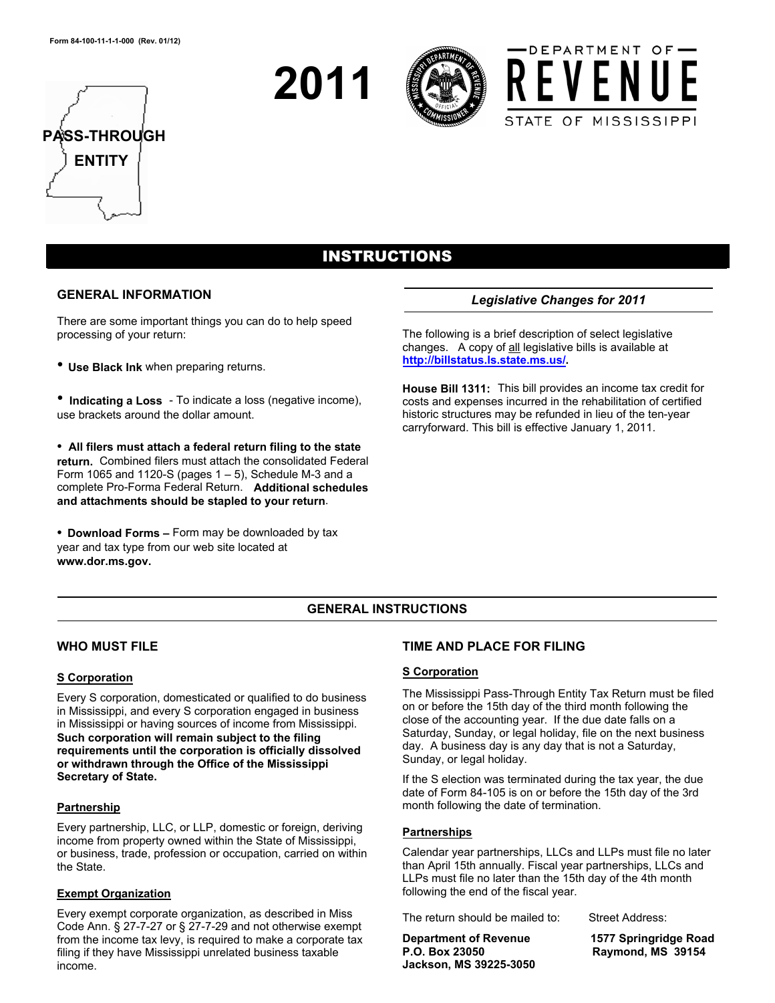







# INSTRUCTIONS

#### **GENERAL INFORMATION**

There are some important things you can do to help speed processing of your return:

• **Use Black Ink** when preparing returns.

• **Indicating a Loss** - To indicate a loss (negative income), use brackets around the dollar amount.

• **All filers must attach a federal return filing to the state return.** Combined filers must attach the consolidated Federal Form 1065 and 1120-S (pages  $1 - 5$ ), Schedule M-3 and a complete Pro-Forma Federal Return. **Additional schedules and attachments should be stapled to your return**.

• **Download Forms –** Form may be downloaded by tax year and tax type from our web site located at **www.dor.ms.gov.** 

# *Legislative Changes for 2011*

The following is a brief description of select legislative changes. A copy of all legislative bills is available at **http://billstatus.ls.state.ms.us/.**

**House Bill 1311:** This bill provides an income tax credit for costs and expenses incurred in the rehabilitation of certified historic structures may be refunded in lieu of the ten-year carryforward. This bill is effective January 1, 2011.

# **GENERAL INSTRUCTIONS**

# **WHO MUST FILE**

### **S Corporation**

Every S corporation, domesticated or qualified to do business in Mississippi, and every S corporation engaged in business in Mississippi or having sources of income from Mississippi. **Such corporation will remain subject to the filing requirements until the corporation is officially dissolved or withdrawn through the Office of the Mississippi Secretary of State.** 

### **Partnership**

Every partnership, LLC, or LLP, domestic or foreign, deriving income from property owned within the State of Mississippi, or business, trade, profession or occupation, carried on within the State.

#### **Exempt Organization**

Every exempt corporate organization, as described in Miss Code Ann. § 27-7-27 or § 27-7-29 and not otherwise exempt from the income tax levy, is required to make a corporate tax filing if they have Mississippi unrelated business taxable income.

# **TIME AND PLACE FOR FILING**

### **S Corporation**

The Mississippi Pass-Through Entity Tax Return must be filed on or before the 15th day of the third month following the close of the accounting year. If the due date falls on a Saturday, Sunday, or legal holiday, file on the next business day. A business day is any day that is not a Saturday, Sunday, or legal holiday.

If the S election was terminated during the tax year, the due date of Form 84-105 is on or before the 15th day of the 3rd month following the date of termination.

### **Partnerships**

Calendar year partnerships, LLCs and LLPs must file no later than April 15th annually. Fiscal year partnerships, LLCs and LLPs must file no later than the 15th day of the 4th month following the end of the fiscal year.

The return should be mailed to: Street Address:

**Jackson, MS 39225-3050** 

**Department of Revenue 1577 Springridge Road Raymond, MS 39154**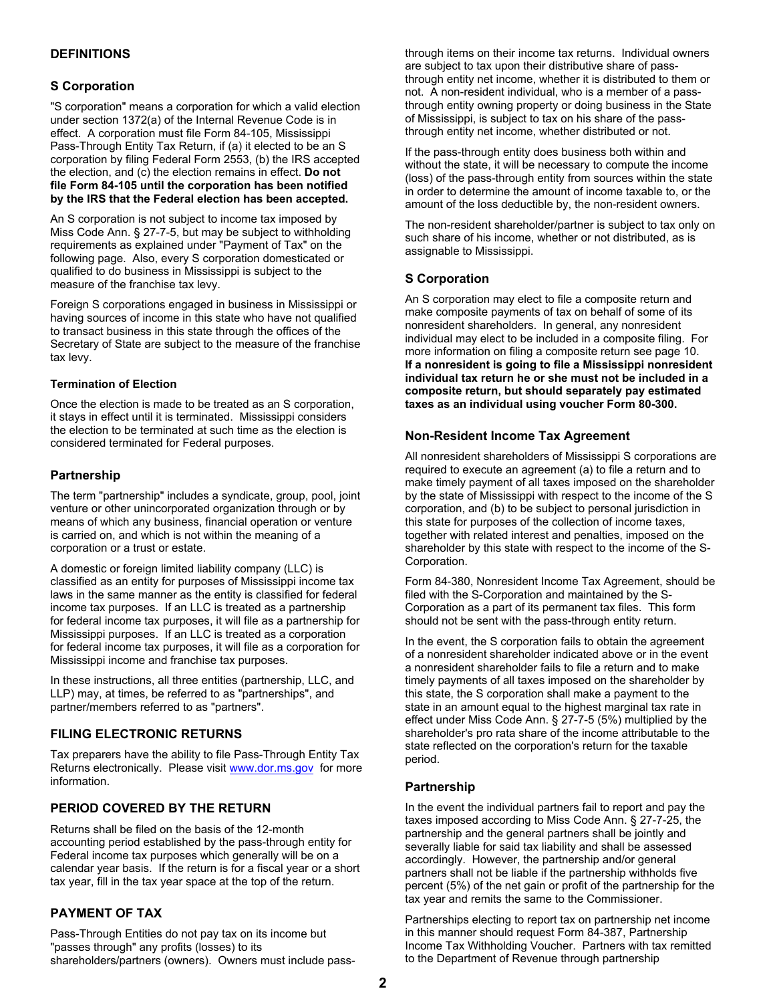# **DEFINITIONS**

### **S Corporation**

"S corporation" means a corporation for which a valid election under section 1372(a) of the Internal Revenue Code is in effect. A corporation must file Form 84-105, Mississippi Pass-Through Entity Tax Return, if (a) it elected to be an S corporation by filing Federal Form 2553, (b) the IRS accepted the election, and (c) the election remains in effect. **Do not file Form 84-105 until the corporation has been notified by the IRS that the Federal election has been accepted.** 

An S corporation is not subject to income tax imposed by Miss Code Ann. § 27-7-5, but may be subject to withholding requirements as explained under "Payment of Tax" on the following page. Also, every S corporation domesticated or qualified to do business in Mississippi is subject to the measure of the franchise tax levy.

Foreign S corporations engaged in business in Mississippi or having sources of income in this state who have not qualified to transact business in this state through the offices of the Secretary of State are subject to the measure of the franchise tax levy.

#### **Termination of Election**

Once the election is made to be treated as an S corporation, it stays in effect until it is terminated. Mississippi considers the election to be terminated at such time as the election is considered terminated for Federal purposes.

#### **Partnership**

The term "partnership" includes a syndicate, group, pool, joint venture or other unincorporated organization through or by means of which any business, financial operation or venture is carried on, and which is not within the meaning of a corporation or a trust or estate.

A domestic or foreign limited liability company (LLC) is classified as an entity for purposes of Mississippi income tax laws in the same manner as the entity is classified for federal income tax purposes. If an LLC is treated as a partnership for federal income tax purposes, it will file as a partnership for Mississippi purposes. If an LLC is treated as a corporation for federal income tax purposes, it will file as a corporation for Mississippi income and franchise tax purposes.

In these instructions, all three entities (partnership, LLC, and LLP) may, at times, be referred to as "partnerships", and partner/members referred to as "partners".

### **FILING ELECTRONIC RETURNS**

Tax preparers have the ability to file Pass-Through Entity Tax Returns electronically. Please visit www.dor.ms.gov for more information.

### **PERIOD COVERED BY THE RETURN**

Returns shall be filed on the basis of the 12-month accounting period established by the pass-through entity for Federal income tax purposes which generally will be on a calendar year basis. If the return is for a fiscal year or a short tax year, fill in the tax year space at the top of the return.

### **PAYMENT OF TAX**

Pass-Through Entities do not pay tax on its income but "passes through" any profits (losses) to its shareholders/partners (owners). Owners must include pass-

through items on their income tax returns. Individual owners are subject to tax upon their distributive share of passthrough entity net income, whether it is distributed to them or not. A non-resident individual, who is a member of a passthrough entity owning property or doing business in the State of Mississippi, is subject to tax on his share of the passthrough entity net income, whether distributed or not.

If the pass-through entity does business both within and without the state, it will be necessary to compute the income (loss) of the pass-through entity from sources within the state in order to determine the amount of income taxable to, or the amount of the loss deductible by, the non-resident owners.

The non-resident shareholder/partner is subject to tax only on such share of his income, whether or not distributed, as is assignable to Mississippi.

#### **S Corporation**

An S corporation may elect to file a composite return and make composite payments of tax on behalf of some of its nonresident shareholders. In general, any nonresident individual may elect to be included in a composite filing. For more information on filing a composite return see page 10. **If a nonresident is going to file a Mississippi nonresident individual tax return he or she must not be included in a composite return, but should separately pay estimated taxes as an individual using voucher Form 80-300.** 

#### **Non-Resident Income Tax Agreement**

All nonresident shareholders of Mississippi S corporations are required to execute an agreement (a) to file a return and to make timely payment of all taxes imposed on the shareholder by the state of Mississippi with respect to the income of the S corporation, and (b) to be subject to personal jurisdiction in this state for purposes of the collection of income taxes, together with related interest and penalties, imposed on the shareholder by this state with respect to the income of the S-Corporation.

Form 84-380, Nonresident Income Tax Agreement, should be filed with the S-Corporation and maintained by the S-Corporation as a part of its permanent tax files. This form should not be sent with the pass-through entity return.

In the event, the S corporation fails to obtain the agreement of a nonresident shareholder indicated above or in the event a nonresident shareholder fails to file a return and to make timely payments of all taxes imposed on the shareholder by this state, the S corporation shall make a payment to the state in an amount equal to the highest marginal tax rate in effect under Miss Code Ann. § 27-7-5 (5%) multiplied by the shareholder's pro rata share of the income attributable to the state reflected on the corporation's return for the taxable period.

### **Partnership**

In the event the individual partners fail to report and pay the taxes imposed according to Miss Code Ann. § 27-7-25, the partnership and the general partners shall be jointly and severally liable for said tax liability and shall be assessed accordingly. However, the partnership and/or general partners shall not be liable if the partnership withholds five percent (5%) of the net gain or profit of the partnership for the tax year and remits the same to the Commissioner.

Partnerships electing to report tax on partnership net income in this manner should request Form 84-387, Partnership Income Tax Withholding Voucher. Partners with tax remitted to the Department of Revenue through partnership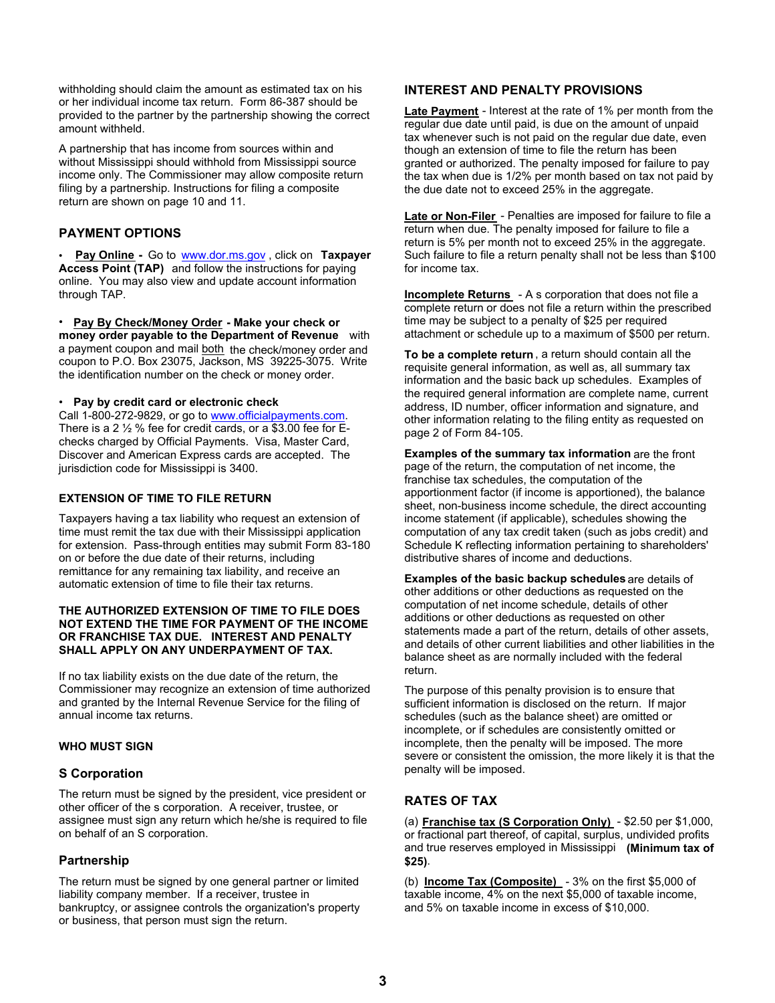withholding should claim the amount as estimated tax on his or her individual income tax return. Form 86-387 should be provided to the partner by the partnership showing the correct amount withheld.

A partnership that has income from sources within and without Mississippi should withhold from Mississippi source income only. The Commissioner may allow composite return filing by a partnership. Instructions for filing a composite return are shown on page 10 and 11.

# **PAYMENT OPTIONS**

• **Pay Online -** Go to www.dor.ms.gov , click on **Taxpayer Access Point (TAP)** and follow the instructions for paying online. You may also view and update account information through TAP.

• **Pay By Check/Money Order - Make your check or money order payable to the Department of Revenue** with a payment coupon and mail both the check/money order and coupon to P.O. Box 23075, Jackson, MS 39225-3075. Write the identification number on the check or money order.

#### • **Pay by credit card or electronic check**

Call 1-800-272-9829, or go to www.officialpayments.com. There is a 2 ½ % fee for credit cards, or a \$3.00 fee for Echecks charged by Official Payments. Visa, Master Card, Discover and American Express cards are accepted. The jurisdiction code for Mississippi is 3400.

### **EXTENSION OF TIME TO FILE RETURN**

Taxpayers having a tax liability who request an extension of time must remit the tax due with their Mississippi application for extension. Pass-through entities may submit Form 83-180 on or before the due date of their returns, including remittance for any remaining tax liability, and receive an automatic extension of time to file their tax returns.

#### **THE AUTHORIZED EXTENSION OF TIME TO FILE DOES NOT EXTEND THE TIME FOR PAYMENT OF THE INCOME OR FRANCHISE TAX DUE. INTEREST AND PENALTY SHALL APPLY ON ANY UNDERPAYMENT OF TAX.**

If no tax liability exists on the due date of the return, the Commissioner may recognize an extension of time authorized and granted by the Internal Revenue Service for the filing of annual income tax returns.

### **WHO MUST SIGN**

### **S Corporation**

The return must be signed by the president, vice president or other officer of the s corporation. A receiver, trustee, or assignee must sign any return which he/she is required to file on behalf of an S corporation.

### **Partnership**

The return must be signed by one general partner or limited liability company member. If a receiver, trustee in bankruptcy, or assignee controls the organization's property or business, that person must sign the return.

## **INTEREST AND PENALTY PROVISIONS**

**Late Payment** - Interest at the rate of 1% per month from the regular due date until paid, is due on the amount of unpaid tax whenever such is not paid on the regular due date, even though an extension of time to file the return has been granted or authorized. The penalty imposed for failure to pay the tax when due is 1/2% per month based on tax not paid by the due date not to exceed 25% in the aggregate.

**Late or Non-Filer** - Penalties are imposed for failure to file a return when due. The penalty imposed for failure to file a return is 5% per month not to exceed 25% in the aggregate. Such failure to file a return penalty shall not be less than \$100 for income tax.

**Incomplete Returns** - A s corporation that does not file a complete return or does not file a return within the prescribed time may be subject to a penalty of \$25 per required attachment or schedule up to a maximum of \$500 per return.

**To be a complete return** , a return should contain all the requisite general information, as well as, all summary tax information and the basic back up schedules. Examples of the required general information are complete name, current address, ID number, officer information and signature, and other information relating to the filing entity as requested on page 2 of Form 84-105.

**Examples of the summary tax information** are the front page of the return, the computation of net income, the franchise tax schedules, the computation of the apportionment factor (if income is apportioned), the balance sheet, non-business income schedule, the direct accounting income statement (if applicable), schedules showing the computation of any tax credit taken (such as jobs credit) and Schedule K reflecting information pertaining to shareholders' distributive shares of income and deductions.

**Examples of the basic backup schedules** are details of other additions or other deductions as requested on the computation of net income schedule, details of other additions or other deductions as requested on other statements made a part of the return, details of other assets, and details of other current liabilities and other liabilities in the balance sheet as are normally included with the federal return.

The purpose of this penalty provision is to ensure that sufficient information is disclosed on the return. If major schedules (such as the balance sheet) are omitted or incomplete, or if schedules are consistently omitted or incomplete, then the penalty will be imposed. The more severe or consistent the omission, the more likely it is that the penalty will be imposed.

# **RATES OF TAX**

(a) **Franchise tax (S Corporation Only)** - \$2.50 per \$1,000, or fractional part thereof, of capital, surplus, undivided profits and true reserves employed in Mississippi **(Minimum tax of \$25)**.

(b) **Income Tax (Composite)** - 3% on the first \$5,000 of taxable income, 4% on the next \$5,000 of taxable income, and 5% on taxable income in excess of \$10,000.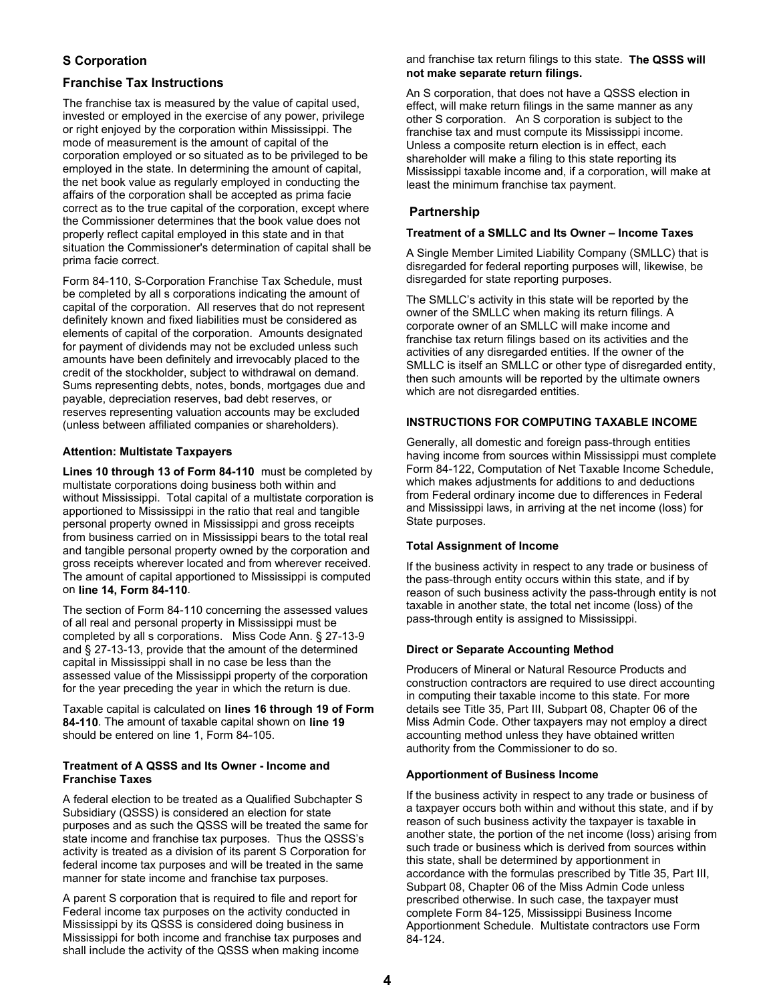# **S Corporation**

### **Franchise Tax Instructions**

The franchise tax is measured by the value of capital used, invested or employed in the exercise of any power, privilege or right enjoyed by the corporation within Mississippi. The mode of measurement is the amount of capital of the corporation employed or so situated as to be privileged to be employed in the state. In determining the amount of capital, the net book value as regularly employed in conducting the affairs of the corporation shall be accepted as prima facie correct as to the true capital of the corporation, except where the Commissioner determines that the book value does not properly reflect capital employed in this state and in that situation the Commissioner's determination of capital shall be prima facie correct.

Form 84-110, S-Corporation Franchise Tax Schedule, must be completed by all s corporations indicating the amount of capital of the corporation. All reserves that do not represent definitely known and fixed liabilities must be considered as elements of capital of the corporation. Amounts designated for payment of dividends may not be excluded unless such amounts have been definitely and irrevocably placed to the credit of the stockholder, subject to withdrawal on demand. Sums representing debts, notes, bonds, mortgages due and payable, depreciation reserves, bad debt reserves, or reserves representing valuation accounts may be excluded (unless between affiliated companies or shareholders).

### **Attention: Multistate Taxpayers**

**Lines 10 through 13 of Form 84-110** must be completed by multistate corporations doing business both within and without Mississippi. Total capital of a multistate corporation is apportioned to Mississippi in the ratio that real and tangible personal property owned in Mississippi and gross receipts from business carried on in Mississippi bears to the total real and tangible personal property owned by the corporation and gross receipts wherever located and from wherever received. The amount of capital apportioned to Mississippi is computed on **line 14, Form 84-110**.

The section of Form 84-110 concerning the assessed values of all real and personal property in Mississippi must be completed by all s corporations. Miss Code Ann. § 27-13-9 and § 27-13-13, provide that the amount of the determined capital in Mississippi shall in no case be less than the assessed value of the Mississippi property of the corporation for the year preceding the year in which the return is due.

Taxable capital is calculated on **lines 16 through 19 of Form 84-110**. The amount of taxable capital shown on **line 19** should be entered on line 1, Form 84-105.

#### **Treatment of A QSSS and Its Owner - Income and Franchise Taxes**

A federal election to be treated as a Qualified Subchapter S Subsidiary (QSSS) is considered an election for state purposes and as such the QSSS will be treated the same for state income and franchise tax purposes. Thus the QSSS's activity is treated as a division of its parent S Corporation for federal income tax purposes and will be treated in the same manner for state income and franchise tax purposes.

A parent S corporation that is required to file and report for Federal income tax purposes on the activity conducted in Mississippi by its QSSS is considered doing business in Mississippi for both income and franchise tax purposes and shall include the activity of the QSSS when making income

#### and franchise tax return filings to this state. **The QSSS will not make separate return filings.**

An S corporation, that does not have a QSSS election in effect, will make return filings in the same manner as any other S corporation. An S corporation is subject to the franchise tax and must compute its Mississippi income. Unless a composite return election is in effect, each shareholder will make a filing to this state reporting its Mississippi taxable income and, if a corporation, will make at least the minimum franchise tax payment.

# **Partnership**

#### **Treatment of a SMLLC and Its Owner – Income Taxes**

A Single Member Limited Liability Company (SMLLC) that is disregarded for federal reporting purposes will, likewise, be disregarded for state reporting purposes.

The SMLLC's activity in this state will be reported by the owner of the SMLLC when making its return filings. A corporate owner of an SMLLC will make income and franchise tax return filings based on its activities and the activities of any disregarded entities. If the owner of the SMLLC is itself an SMLLC or other type of disregarded entity, then such amounts will be reported by the ultimate owners which are not disregarded entities.

### **INSTRUCTIONS FOR COMPUTING TAXABLE INCOME**

Generally, all domestic and foreign pass-through entities having income from sources within Mississippi must complete Form 84-122, Computation of Net Taxable Income Schedule, which makes adjustments for additions to and deductions from Federal ordinary income due to differences in Federal and Mississippi laws, in arriving at the net income (loss) for State purposes.

### **Total Assignment of Income**

If the business activity in respect to any trade or business of the pass-through entity occurs within this state, and if by reason of such business activity the pass-through entity is not taxable in another state, the total net income (loss) of the pass-through entity is assigned to Mississippi.

### **Direct or Separate Accounting Method**

Producers of Mineral or Natural Resource Products and construction contractors are required to use direct accounting in computing their taxable income to this state. For more details see Title 35, Part III, Subpart 08, Chapter 06 of the Miss Admin Code. Other taxpayers may not employ a direct accounting method unless they have obtained written authority from the Commissioner to do so.

#### **Apportionment of Business Income**

If the business activity in respect to any trade or business of a taxpayer occurs both within and without this state, and if by reason of such business activity the taxpayer is taxable in another state, the portion of the net income (loss) arising from such trade or business which is derived from sources within this state, shall be determined by apportionment in accordance with the formulas prescribed by Title 35, Part III, Subpart 08, Chapter 06 of the Miss Admin Code unless prescribed otherwise. In such case, the taxpayer must complete Form 84-125, Mississippi Business Income Apportionment Schedule. Multistate contractors use Form 84-124.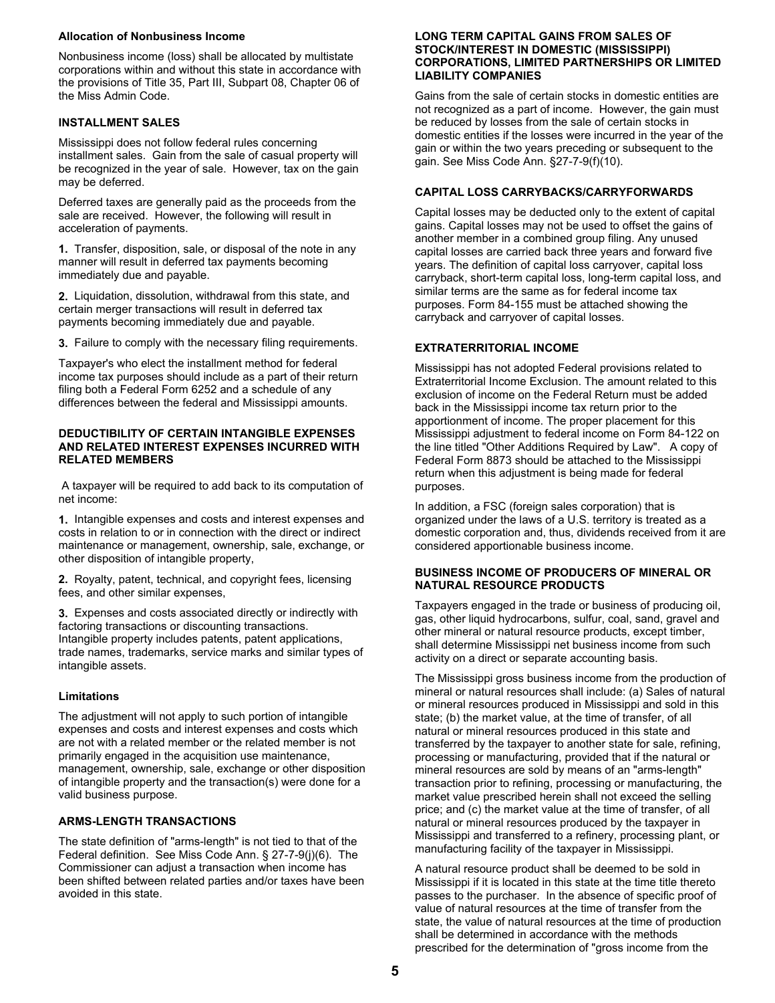#### **Allocation of Nonbusiness Income**

Nonbusiness income (loss) shall be allocated by multistate corporations within and without this state in accordance with the provisions of Title 35, Part III, Subpart 08, Chapter 06 of the Miss Admin Code.

#### **INSTALLMENT SALES**

Mississippi does not follow federal rules concerning installment sales. Gain from the sale of casual property will be recognized in the year of sale. However, tax on the gain may be deferred.

Deferred taxes are generally paid as the proceeds from the sale are received. However, the following will result in acceleration of payments.

**1.** Transfer, disposition, sale, or disposal of the note in any manner will result in deferred tax payments becoming immediately due and payable.

**2.** Liquidation, dissolution, withdrawal from this state, and certain merger transactions will result in deferred tax payments becoming immediately due and payable.

**3.** Failure to comply with the necessary filing requirements.

Taxpayer's who elect the installment method for federal income tax purposes should include as a part of their return filing both a Federal Form 6252 and a schedule of any differences between the federal and Mississippi amounts.

#### **DEDUCTIBILITY OF CERTAIN INTANGIBLE EXPENSES AND RELATED INTEREST EXPENSES INCURRED WITH RELATED MEMBERS**

A taxpayer will be required to add back to its computation of net income:

**1.** Intangible expenses and costs and interest expenses and costs in relation to or in connection with the direct or indirect maintenance or management, ownership, sale, exchange, or other disposition of intangible property,

**2.** Royalty, patent, technical, and copyright fees, licensing fees, and other similar expenses,

**3.** Expenses and costs associated directly or indirectly with factoring transactions or discounting transactions. Intangible property includes patents, patent applications, trade names, trademarks, service marks and similar types of intangible assets.

### **Limitations**

The adjustment will not apply to such portion of intangible expenses and costs and interest expenses and costs which are not with a related member or the related member is not primarily engaged in the acquisition use maintenance, management, ownership, sale, exchange or other disposition of intangible property and the transaction(s) were done for a valid business purpose.

# **ARMS-LENGTH TRANSACTIONS**

The state definition of "arms-length" is not tied to that of the Federal definition. See Miss Code Ann. § 27-7-9(j)(6). The Commissioner can adjust a transaction when income has been shifted between related parties and/or taxes have been avoided in this state.

#### **LONG TERM CAPITAL GAINS FROM SALES OF STOCK/INTEREST IN DOMESTIC (MISSISSIPPI) CORPORATIONS, LIMITED PARTNERSHIPS OR LIMITED LIABILITY COMPANIES**

Gains from the sale of certain stocks in domestic entities are not recognized as a part of income. However, the gain must be reduced by losses from the sale of certain stocks in domestic entities if the losses were incurred in the year of the gain or within the two years preceding or subsequent to the gain. See Miss Code Ann. §27-7-9(f)(10).

#### **CAPITAL LOSS CARRYBACKS/CARRYFORWARDS**

Capital losses may be deducted only to the extent of capital gains. Capital losses may not be used to offset the gains of another member in a combined group filing. Any unused capital losses are carried back three years and forward five years. The definition of capital loss carryover, capital loss carryback, short-term capital loss, long-term capital loss, and similar terms are the same as for federal income tax purposes. Form 84-155 must be attached showing the carryback and carryover of capital losses.

### **EXTRATERRITORIAL INCOME**

Mississippi has not adopted Federal provisions related to Extraterritorial Income Exclusion. The amount related to this exclusion of income on the Federal Return must be added back in the Mississippi income tax return prior to the apportionment of income. The proper placement for this Mississippi adjustment to federal income on Form 84-122 on the line titled "Other Additions Required by Law". A copy of Federal Form 8873 should be attached to the Mississippi return when this adjustment is being made for federal purposes.

In addition, a FSC (foreign sales corporation) that is organized under the laws of a U.S. territory is treated as a domestic corporation and, thus, dividends received from it are considered apportionable business income.

#### **BUSINESS INCOME OF PRODUCERS OF MINERAL OR NATURAL RESOURCE PRODUCTS**

Taxpayers engaged in the trade or business of producing oil, gas, other liquid hydrocarbons, sulfur, coal, sand, gravel and other mineral or natural resource products, except timber, shall determine Mississippi net business income from such activity on a direct or separate accounting basis.

The Mississippi gross business income from the production of mineral or natural resources shall include: (a) Sales of natural or mineral resources produced in Mississippi and sold in this state; (b) the market value, at the time of transfer, of all natural or mineral resources produced in this state and transferred by the taxpayer to another state for sale, refining, processing or manufacturing, provided that if the natural or mineral resources are sold by means of an "arms-length" transaction prior to refining, processing or manufacturing, the market value prescribed herein shall not exceed the selling price; and (c) the market value at the time of transfer, of all natural or mineral resources produced by the taxpayer in Mississippi and transferred to a refinery, processing plant, or manufacturing facility of the taxpayer in Mississippi.

A natural resource product shall be deemed to be sold in Mississippi if it is located in this state at the time title thereto passes to the purchaser. In the absence of specific proof of value of natural resources at the time of transfer from the state, the value of natural resources at the time of production shall be determined in accordance with the methods prescribed for the determination of "gross income from the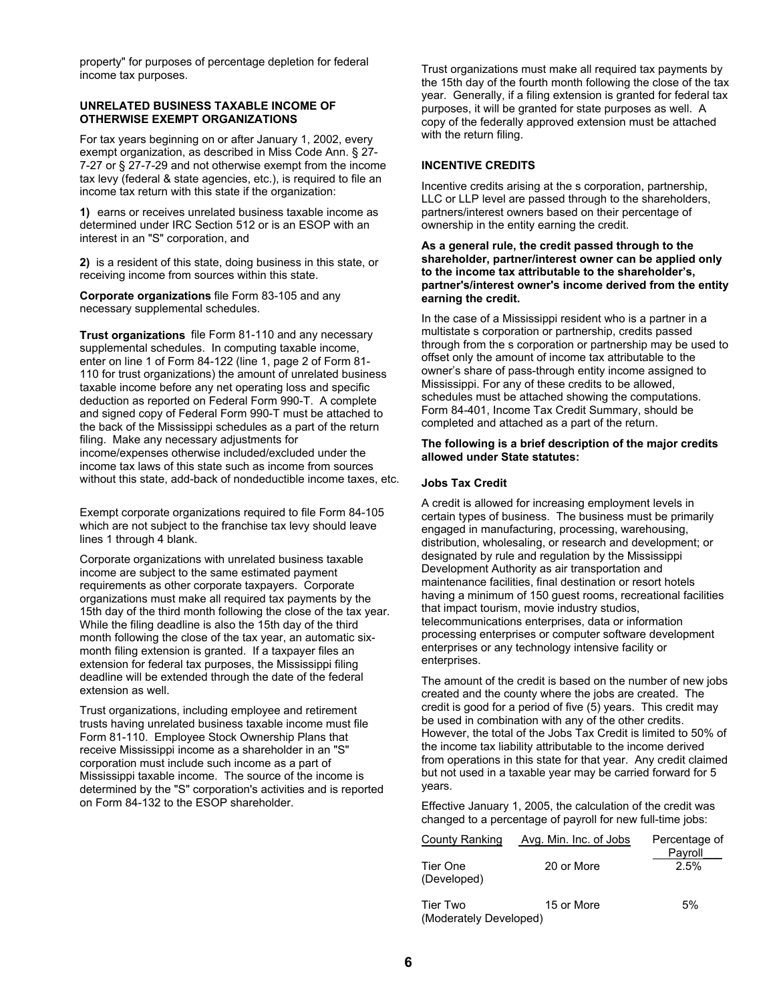property" for purposes of percentage depletion for federal income tax purposes.

#### **UNRELATED BUSINESS TAXABLE INCOME OF OTHERWISE EXEMPT ORGANIZATIONS**

For tax years beginning on or after January 1, 2002, every exempt organization, as described in Miss Code Ann. § 27- 7-27 or § 27-7-29 and not otherwise exempt from the income tax levy (federal & state agencies, etc.), is required to file an income tax return with this state if the organization:

**1)** earns or receives unrelated business taxable income as determined under IRC Section 512 or is an ESOP with an interest in an "S" corporation, and

**2)** is a resident of this state, doing business in this state, or receiving income from sources within this state.

**Corporate organizations** file Form 83-105 and any necessary supplemental schedules.

**Trust organizations** file Form 81-110 and any necessary supplemental schedules. In computing taxable income, enter on line 1 of Form 84-122 (line 1, page 2 of Form 81- 110 for trust organizations) the amount of unrelated business taxable income before any net operating loss and specific deduction as reported on Federal Form 990-T. A complete and signed copy of Federal Form 990-T must be attached to the back of the Mississippi schedules as a part of the return filing. Make any necessary adjustments for income/expenses otherwise included/excluded under the income tax laws of this state such as income from sources without this state, add-back of nondeductible income taxes, etc.

Exempt corporate organizations required to file Form 84-105 which are not subject to the franchise tax levy should leave lines 1 through 4 blank.

Corporate organizations with unrelated business taxable income are subject to the same estimated payment requirements as other corporate taxpayers. Corporate organizations must make all required tax payments by the 15th day of the third month following the close of the tax year. While the filing deadline is also the 15th day of the third month following the close of the tax year, an automatic sixmonth filing extension is granted. If a taxpayer files an extension for federal tax purposes, the Mississippi filing deadline will be extended through the date of the federal extension as well.

Trust organizations, including employee and retirement trusts having unrelated business taxable income must file Form 81-110. Employee Stock Ownership Plans that receive Mississippi income as a shareholder in an "S" corporation must include such income as a part of Mississippi taxable income. The source of the income is determined by the "S" corporation's activities and is reported on Form 84-132 to the ESOP shareholder.

Trust organizations must make all required tax payments by the 15th day of the fourth month following the close of the tax year. Generally, if a filing extension is granted for federal tax purposes, it will be granted for state purposes as well. A copy of the federally approved extension must be attached with the return filing.

### **INCENTIVE CREDITS**

Incentive credits arising at the s corporation, partnership, LLC or LLP level are passed through to the shareholders, partners/interest owners based on their percentage of ownership in the entity earning the credit.

#### **As a general rule, the credit passed through to the shareholder, partner/interest owner can be applied only to the income tax attributable to the shareholder's, partner's/interest owner's income derived from the entity earning the credit.**

In the case of a Mississippi resident who is a partner in a multistate s corporation or partnership, credits passed through from the s corporation or partnership may be used to offset only the amount of income tax attributable to the owner's share of pass-through entity income assigned to Mississippi. For any of these credits to be allowed, schedules must be attached showing the computations. Form 84-401, Income Tax Credit Summary, should be completed and attached as a part of the return.

#### **The following is a brief description of the major credits allowed under State statutes:**

#### **Jobs Tax Credit**

A credit is allowed for increasing employment levels in certain types of business. The business must be primarily engaged in manufacturing, processing, warehousing, distribution, wholesaling, or research and development; or designated by rule and regulation by the Mississippi Development Authority as air transportation and maintenance facilities, final destination or resort hotels having a minimum of 150 quest rooms, recreational facilities that impact tourism, movie industry studios, telecommunications enterprises, data or information processing enterprises or computer software development enterprises or any technology intensive facility or enterprises.

The amount of the credit is based on the number of new jobs created and the county where the jobs are created. The credit is good for a period of five (5) years. This credit may be used in combination with any of the other credits. However, the total of the Jobs Tax Credit is limited to 50% of the income tax liability attributable to the income derived from operations in this state for that year. Any credit claimed but not used in a taxable year may be carried forward for 5 years.

Effective January 1, 2005, the calculation of the credit was changed to a percentage of payroll for new full-time jobs:

| County Ranking                     | Avg. Min. Inc. of Jobs | Percentage of<br>Payroll<br>2.5% |  |
|------------------------------------|------------------------|----------------------------------|--|
| Tier One<br>(Developed)            | 20 or More             |                                  |  |
| Tier Two<br>(Moderately Developed) | 15 or More             | 5%                               |  |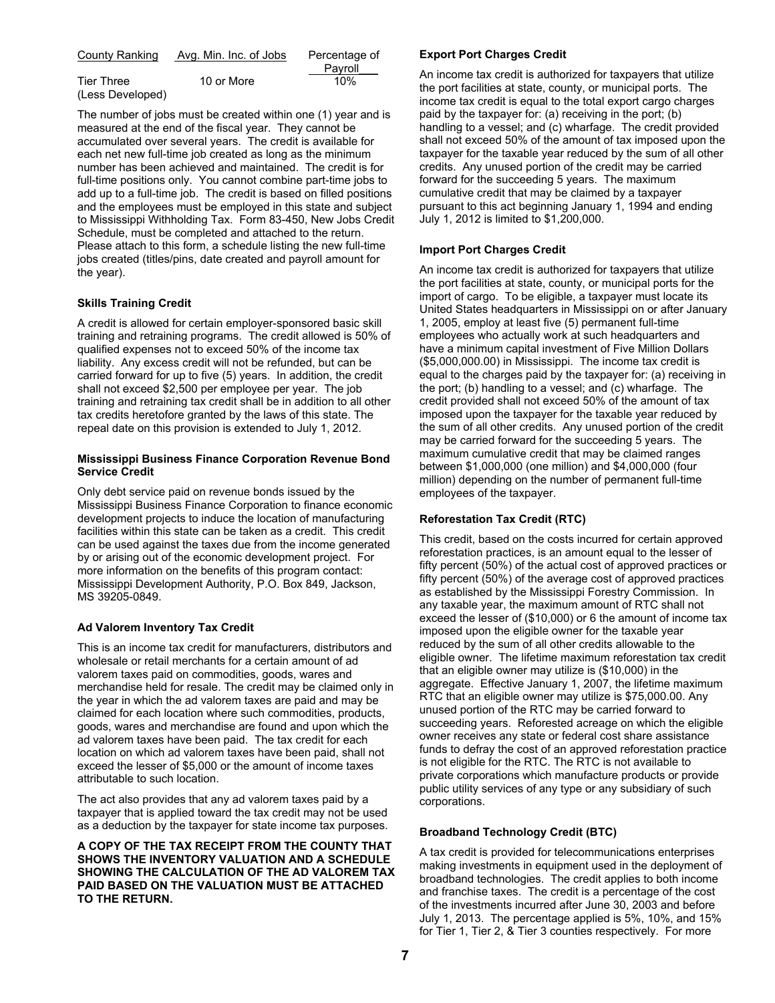| County Ranking    | Avg. Min. Inc. of Jobs | Percentage of |  |
|-------------------|------------------------|---------------|--|
|                   |                        | Payroll       |  |
| <b>Tier Three</b> | 10 or More             | 10%           |  |
| (Less Developed)  |                        |               |  |

The number of jobs must be created within one (1) year and is measured at the end of the fiscal year. They cannot be accumulated over several years. The credit is available for each net new full-time job created as long as the minimum number has been achieved and maintained. The credit is for full-time positions only. You cannot combine part-time jobs to add up to a full-time job. The credit is based on filled positions and the employees must be employed in this state and subject to Mississippi Withholding Tax. Form 83-450, New Jobs Credit Schedule, must be completed and attached to the return. Please attach to this form, a schedule listing the new full-time jobs created (titles/pins, date created and payroll amount for the year).

### **Skills Training Credit**

A credit is allowed for certain employer-sponsored basic skill training and retraining programs. The credit allowed is 50% of qualified expenses not to exceed 50% of the income tax liability. Any excess credit will not be refunded, but can be carried forward for up to five (5) years. In addition, the credit shall not exceed \$2,500 per employee per year. The job training and retraining tax credit shall be in addition to all other tax credits heretofore granted by the laws of this state. The repeal date on this provision is extended to July 1, 2012.

#### **Mississippi Business Finance Corporation Revenue Bond Service Credit**

Only debt service paid on revenue bonds issued by the Mississippi Business Finance Corporation to finance economic development projects to induce the location of manufacturing facilities within this state can be taken as a credit. This credit can be used against the taxes due from the income generated by or arising out of the economic development project. For more information on the benefits of this program contact: Mississippi Development Authority, P.O. Box 849, Jackson, MS 39205-0849.

### **Ad Valorem Inventory Tax Credit**

This is an income tax credit for manufacturers, distributors and wholesale or retail merchants for a certain amount of ad valorem taxes paid on commodities, goods, wares and merchandise held for resale. The credit may be claimed only in the year in which the ad valorem taxes are paid and may be claimed for each location where such commodities, products, goods, wares and merchandise are found and upon which the ad valorem taxes have been paid. The tax credit for each location on which ad valorem taxes have been paid, shall not exceed the lesser of \$5,000 or the amount of income taxes attributable to such location.

The act also provides that any ad valorem taxes paid by a taxpayer that is applied toward the tax credit may not be used as a deduction by the taxpayer for state income tax purposes.

**A COPY OF THE TAX RECEIPT FROM THE COUNTY THAT SHOWS THE INVENTORY VALUATION AND A SCHEDULE SHOWING THE CALCULATION OF THE AD VALOREM TAX PAID BASED ON THE VALUATION MUST BE ATTACHED TO THE RETURN.**

#### **Export Port Charges Credit**

An income tax credit is authorized for taxpayers that utilize the port facilities at state, county, or municipal ports. The income tax credit is equal to the total export cargo charges paid by the taxpayer for: (a) receiving in the port; (b) handling to a vessel; and (c) wharfage. The credit provided shall not exceed 50% of the amount of tax imposed upon the taxpayer for the taxable year reduced by the sum of all other credits. Any unused portion of the credit may be carried forward for the succeeding 5 years. The maximum cumulative credit that may be claimed by a taxpayer pursuant to this act beginning January 1, 1994 and ending July 1, 2012 is limited to \$1,200,000.

### **Import Port Charges Credit**

An income tax credit is authorized for taxpayers that utilize the port facilities at state, county, or municipal ports for the import of cargo. To be eligible, a taxpayer must locate its United States headquarters in Mississippi on or after January 1, 2005, employ at least five (5) permanent full-time employees who actually work at such headquarters and have a minimum capital investment of Five Million Dollars (\$5,000,000.00) in Mississippi. The income tax credit is equal to the charges paid by the taxpayer for: (a) receiving in the port; (b) handling to a vessel; and (c) wharfage. The credit provided shall not exceed 50% of the amount of tax imposed upon the taxpayer for the taxable year reduced by the sum of all other credits. Any unused portion of the credit may be carried forward for the succeeding 5 years. The maximum cumulative credit that may be claimed ranges between \$1,000,000 (one million) and \$4,000,000 (four million) depending on the number of permanent full-time employees of the taxpayer.

# **Reforestation Tax Credit (RTC)**

This credit, based on the costs incurred for certain approved reforestation practices, is an amount equal to the lesser of fifty percent (50%) of the actual cost of approved practices or fifty percent (50%) of the average cost of approved practices as established by the Mississippi Forestry Commission. In any taxable year, the maximum amount of RTC shall not exceed the lesser of (\$10,000) or 6 the amount of income tax imposed upon the eligible owner for the taxable year reduced by the sum of all other credits allowable to the eligible owner. The lifetime maximum reforestation tax credit that an eligible owner may utilize is (\$10,000) in the aggregate. Effective January 1, 2007, the lifetime maximum RTC that an eligible owner may utilize is \$75,000.00. Any unused portion of the RTC may be carried forward to succeeding years. Reforested acreage on which the eligible owner receives any state or federal cost share assistance funds to defray the cost of an approved reforestation practice is not eligible for the RTC. The RTC is not available to private corporations which manufacture products or provide public utility services of any type or any subsidiary of such corporations.

# **Broadband Technology Credit (BTC)**

A tax credit is provided for telecommunications enterprises making investments in equipment used in the deployment of broadband technologies. The credit applies to both income and franchise taxes. The credit is a percentage of the cost of the investments incurred after June 30, 2003 and before July 1, 2013. The percentage applied is 5%, 10%, and 15% for Tier 1, Tier 2, & Tier 3 counties respectively. For more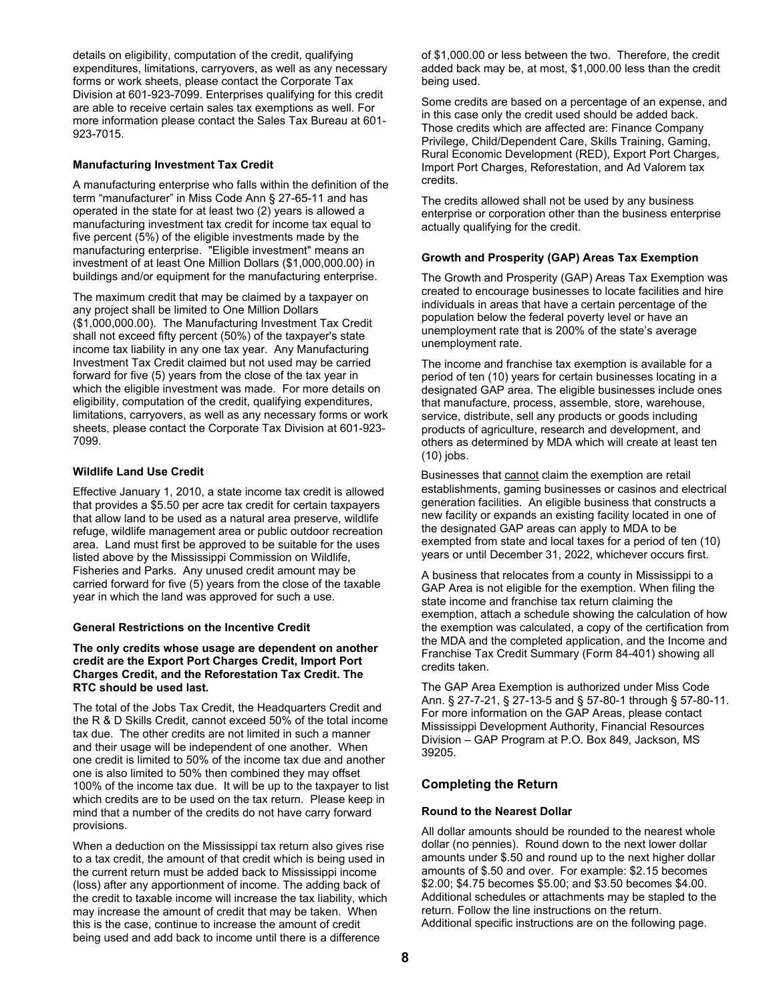details on eligibility, computation of the credit, qualifying expenditures, limitations, carryovers, as well as any necessary forms or work sheets, please contact the Corporate Tax Division at 601-923-7099. Enterprises qualifying for this credit are able to receive certain sales tax exemptions as well. For more information please contact the Sales Tax Bureau at 601- 923-7015.

#### **Manufacturing Investment Tax Credit**

A manufacturing enterprise who falls within the definition of the term "manufacturer" in Miss Code Ann § 27-65-11 and has operated in the state for at least two (2) years is allowed a manufacturing investment tax credit for income tax equal to five percent (5%) of the eligible investments made by the manufacturing enterprise. "Eligible investment" means an investment of at least One Million Dollars (\$1,000,000.00) in buildings and/or equipment for the manufacturing enterprise.

The maximum credit that may be claimed by a taxpayer on any project shall be limited to One Million Dollars (\$1,000,000.00). The Manufacturing Investment Tax Credit shall not exceed fifty percent (50%) of the taxpayer's state income tax liability in any one tax year. Any Manufacturing Investment Tax Credit claimed but not used may be carried forward for five (5) years from the close of the tax year in which the eligible investment was made. For more details on eligibility, computation of the credit, qualifying expenditures, limitations, carryovers, as well as any necessary forms or work sheets, please contact the Corporate Tax Division at 601-923- 7099.

#### **Wildlife Land Use Credit**

Effective January 1, 2010, a state income tax credit is allowed that provides a \$5.50 per acre tax credit for certain taxpayers that allow land to be used as a natural area preserve, wildlife refuge, wildlife management area or public outdoor recreation area. Land must first be approved to be suitable for the uses listed above by the Mississippi Commission on Wildlife, Fisheries and Parks. Any unused credit amount may be carried forward for five (5) years from the close of the taxable year in which the land was approved for such a use.

#### **General Restrictions on the Incentive Credit**

#### **The only credits whose usage are dependent on another credit are the Export Port Charges Credit, Import Port Charges Credit, and the Reforestation Tax Credit. The RTC should be used last.**

The total of the Jobs Tax Credit, the Headquarters Credit and the R & D Skills Credit, cannot exceed 50% of the total income tax due. The other credits are not limited in such a manner and their usage will be independent of one another. When one credit is limited to 50% of the income tax due and another one is also limited to 50% then combined they may offset 100% of the income tax due. It will be up to the taxpayer to list which credits are to be used on the tax return. Please keep in mind that a number of the credits do not have carry forward provisions.

When a deduction on the Mississippi tax return also gives rise to a tax credit, the amount of that credit which is being used in the current return must be added back to Mississippi income (loss) after any apportionment of income. The adding back of the credit to taxable income will increase the tax liability, which may increase the amount of credit that may be taken. When this is the case, continue to increase the amount of credit being used and add back to income until there is a difference

of \$1,000.00 or less between the two. Therefore, the credit added back may be, at most, \$1,000.00 less than the credit being used.

Some credits are based on a percentage of an expense, and in this case only the credit used should be added back. Those credits which are affected are: Finance Company Privilege, Child/Dependent Care, Skills Training, Gaming, Rural Economic Development (RED), Export Port Charges, Import Port Charges, Reforestation, and Ad Valorem tax credits.

The credits allowed shall not be used by any business enterprise or corporation other than the business enterprise actually qualifying for the credit.

#### **Growth and Prosperity (GAP) Areas Tax Exemption**

The Growth and Prosperity (GAP) Areas Tax Exemption was created to encourage businesses to locate facilities and hire individuals in areas that have a certain percentage of the population below the federal poverty level or have an unemployment rate that is 200% of the state's average unemployment rate.

The income and franchise tax exemption is available for a period of ten (10) years for certain businesses locating in a designated GAP area. The eligible businesses include ones that manufacture, process, assemble, store, warehouse, service, distribute, sell any products or goods including products of agriculture, research and development, and others as determined by MDA which will create at least ten (10) jobs.

Businesses that cannot claim the exemption are retail establishments, gaming businesses or casinos and electrical generation facilities. An eligible business that constructs a new facility or expands an existing facility located in one of the designated GAP areas can apply to MDA to be exempted from state and local taxes for a period of ten (10) years or until December 31, 2022, whichever occurs first.

A business that relocates from a county in Mississippi to a GAP Area is not eligible for the exemption. When filing the state income and franchise tax return claiming the exemption, attach a schedule showing the calculation of how the exemption was calculated, a copy of the certification from the MDA and the completed application, and the Income and Franchise Tax Credit Summary (Form 84-401) showing all credits taken.

The GAP Area Exemption is authorized under Miss Code Ann. § 27-7-21, § 27-13-5 and § 57-80-1 through § 57-80-11. For more information on the GAP Areas, please contact Mississippi Development Authority, Financial Resources Division – GAP Program at P.O. Box 849, Jackson, MS 39205.

### **Completing the Return**

#### **Round to the Nearest Dollar**

All dollar amounts should be rounded to the nearest whole dollar (no pennies). Round down to the next lower dollar amounts under \$.50 and round up to the next higher dollar amounts of \$.50 and over. For example: \$2.15 becomes \$2.00; \$4.75 becomes \$5.00; and \$3.50 becomes \$4.00. Additional schedules or attachments may be stapled to the return. Follow the line instructions on the return. Additional specific instructions are on the following page.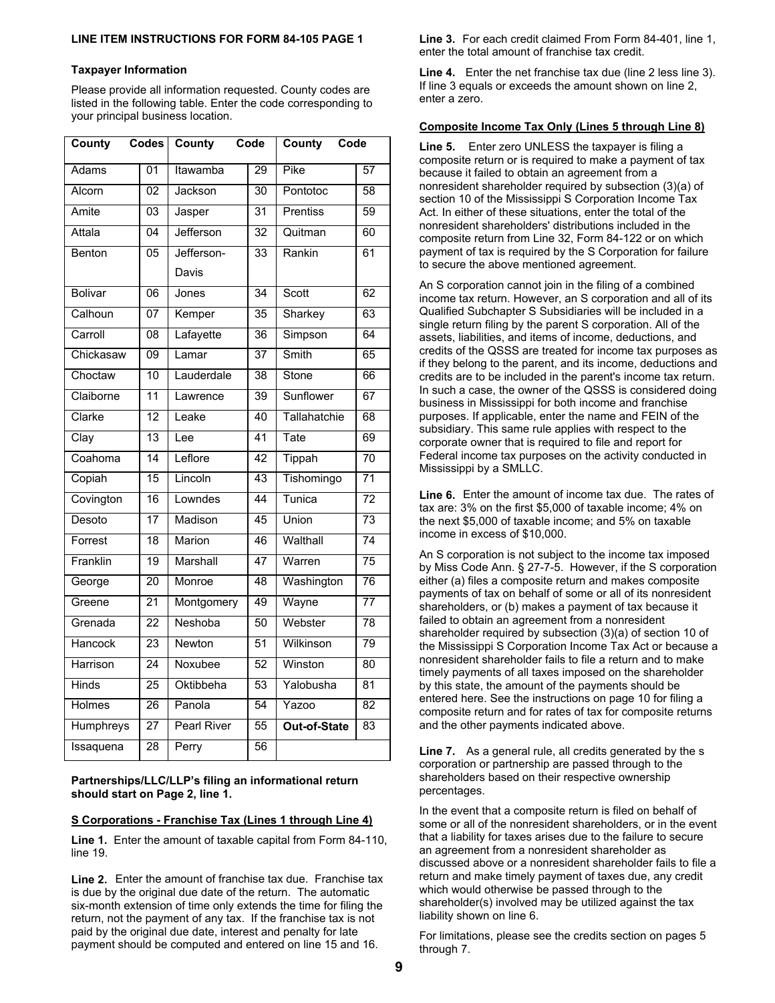#### **Taxpayer Information**

Please provide all information requested. County codes are listed in the following table. Enter the code corresponding to your principal business location.

| County           | Codes           | County             | Code            | County<br>Code      |                 |
|------------------|-----------------|--------------------|-----------------|---------------------|-----------------|
| Adams            | 01              | Itawamba           | 29              | Pike                | 57              |
| Alcorn           | 02              | Jackson            | 30              | Pontotoc            | $\overline{58}$ |
| Amite            | $\overline{03}$ | Jasper             | $\overline{31}$ | Prentiss            | 59              |
| Attala           | 04              | Jefferson          | 32              | Quitman             | 60              |
| Benton           | 05              | Jefferson-         | 33              | Rankin              | 61              |
|                  |                 | Davis              |                 |                     |                 |
| <b>Bolivar</b>   | 06              | Jones              | 34              | Scott               | 62              |
| Calhoun          | 07              | Kemper             | 35              | Sharkey             | 63              |
| Carroll          | 08              | Lafayette          | $\overline{36}$ | Simpson             | 64              |
| Chickasaw        | $\overline{09}$ | Lamar              | $\overline{37}$ | Smith               | 65              |
| Choctaw          | 10              | Lauderdale         | 38              | Stone               | 66              |
| Claiborne        | 11              | Lawrence           | 39              | Sunflower           | 67              |
| Clarke           | $\overline{12}$ | Leake              | 40              | Tallahatchie        | 68              |
| Clay             | 13              | Lee                | 41              | Tate                | 69              |
| Coahoma          | $\overline{14}$ | Leflore            | $\overline{42}$ | Tippah              | $\overline{70}$ |
| Copiah           | 15              | Lincoln            | 43              | Tishomingo          | 71              |
| Covington        | $\overline{16}$ | Lowndes            | 44              | Tunica              | $\overline{72}$ |
| Desoto           | 17              | Madison            | 45              | Union               | $\overline{73}$ |
| Forrest          | $\overline{18}$ | Marion             | 46              | Walthall            | $\overline{74}$ |
| Franklin         | 19              | Marshall           | $\overline{47}$ | Warren              | $\overline{75}$ |
| George           | $\overline{20}$ | Monroe             | 48              | Washington          | 76              |
| Greene           | 21              | Montgomery         | 49              | Wayne               | $\overline{77}$ |
| Grenada          | 22              | Neshoba            | 50              | Webster             | 78              |
| Hancock          | $\overline{23}$ | Newton             | 51              | Wilkinson           | 79              |
| Harrison         | $\overline{24}$ | Noxubee            | 52              | Winston             | 80              |
| <b>Hinds</b>     | $\overline{25}$ | Oktibbeha          | 53              | Yalobusha           | 81              |
| <b>Holmes</b>    | 26              | Panola             | 54              | Yazoo               | $\overline{82}$ |
| <b>Humphreys</b> | $\overline{27}$ | <b>Pearl River</b> | $\overline{55}$ | <b>Out-of-State</b> | 83              |
| Issaquena        | 28              | Perry              | $\overline{56}$ |                     |                 |

**Partnerships/LLC/LLP's filing an informational return should start on Page 2, line 1.** 

# **S Corporations - Franchise Tax (Lines 1 through Line 4)**

**Line 1.** Enter the amount of taxable capital from Form 84-110, line 19.

**Line 2.** Enter the amount of franchise tax due. Franchise tax is due by the original due date of the return. The automatic six-month extension of time only extends the time for filing the return, not the payment of any tax. If the franchise tax is not paid by the original due date, interest and penalty for late payment should be computed and entered on line 15 and 16.

**Line 3.** For each credit claimed From Form 84-401, line 1, enter the total amount of franchise tax credit.

**Line 4.** Enter the net franchise tax due (line 2 less line 3). If line 3 equals or exceeds the amount shown on line 2, enter a zero.

#### **Composite Income Tax Only (Lines 5 through Line 8)**

**Line 5.** Enter zero UNLESS the taxpayer is filing a composite return or is required to make a payment of tax because it failed to obtain an agreement from a nonresident shareholder required by subsection (3)(a) of section 10 of the Mississippi S Corporation Income Tax Act. In either of these situations, enter the total of the nonresident shareholders' distributions included in the composite return from Line 32, Form 84-122 or on which payment of tax is required by the S Corporation for failure to secure the above mentioned agreement.

An S corporation cannot join in the filing of a combined income tax return. However, an S corporation and all of its Qualified Subchapter S Subsidiaries will be included in a single return filing by the parent S corporation. All of the assets, liabilities, and items of income, deductions, and credits of the QSSS are treated for income tax purposes as if they belong to the parent, and its income, deductions and credits are to be included in the parent's income tax return. In such a case, the owner of the QSSS is considered doing business in Mississippi for both income and franchise purposes. If applicable, enter the name and FEIN of the subsidiary. This same rule applies with respect to the corporate owner that is required to file and report for Federal income tax purposes on the activity conducted in Mississippi by a SMLLC.

**Line 6.** Enter the amount of income tax due. The rates of tax are: 3% on the first \$5,000 of taxable income; 4% on the next \$5,000 of taxable income; and 5% on taxable income in excess of \$10,000.

An S corporation is not subject to the income tax imposed by Miss Code Ann. § 27-7-5. However, if the S corporation either (a) files a composite return and makes composite payments of tax on behalf of some or all of its nonresident shareholders, or (b) makes a payment of tax because it failed to obtain an agreement from a nonresident shareholder required by subsection (3)(a) of section 10 of the Mississippi S Corporation Income Tax Act or because a nonresident shareholder fails to file a return and to make timely payments of all taxes imposed on the shareholder by this state, the amount of the payments should be entered here. See the instructions on page 10 for filing a composite return and for rates of tax for composite returns and the other payments indicated above.

**Line 7.** As a general rule, all credits generated by the s corporation or partnership are passed through to the shareholders based on their respective ownership percentages.

In the event that a composite return is filed on behalf of some or all of the nonresident shareholders, or in the event that a liability for taxes arises due to the failure to secure an agreement from a nonresident shareholder as discussed above or a nonresident shareholder fails to file a return and make timely payment of taxes due, any credit which would otherwise be passed through to the shareholder(s) involved may be utilized against the tax liability shown on line 6.

For limitations, please see the credits section on pages 5 through 7.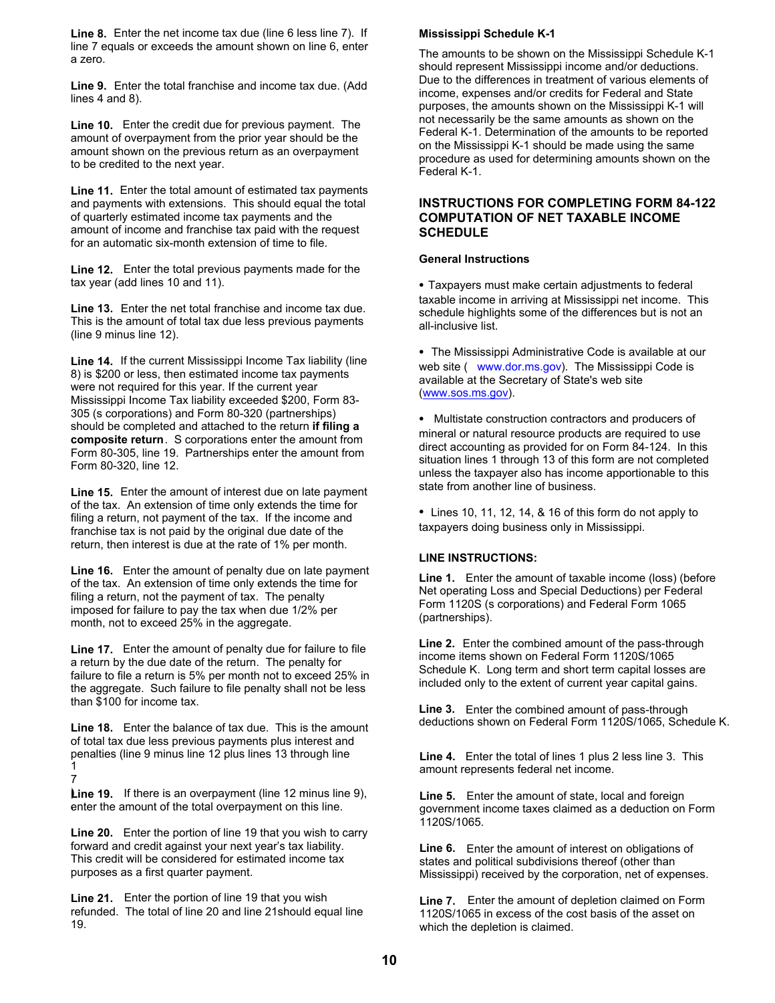**Line 8.** Enter the net income tax due (line 6 less line 7). If line 7 equals or exceeds the amount shown on line 6, enter a zero.

**Line 9.** Enter the total franchise and income tax due. (Add lines 4 and 8).

**Line 10.** Enter the credit due for previous payment. The amount of overpayment from the prior year should be the amount shown on the previous return as an overpayment to be credited to the next year.

**Line 11.** Enter the total amount of estimated tax payments and payments with extensions. This should equal the total of quarterly estimated income tax payments and the amount of income and franchise tax paid with the request for an automatic six-month extension of time to file.

**Line 12.** Enter the total previous payments made for the tax year (add lines 10 and 11).

**Line 13.** Enter the net total franchise and income tax due. This is the amount of total tax due less previous payments (line 9 minus line 12).

**Line 14.** If the current Mississippi Income Tax liability (line 8) is \$200 or less, then estimated income tax payments were not required for this year. If the current year Mississippi Income Tax liability exceeded \$200, Form 83- 305 (s corporations) and Form 80-320 (partnerships) should be completed and attached to the return **if filing a composite return**. S corporations enter the amount from Form 80-305, line 19. Partnerships enter the amount from Form 80-320, line 12.

**Line 15.** Enter the amount of interest due on late payment of the tax. An extension of time only extends the time for filing a return, not payment of the tax. If the income and franchise tax is not paid by the original due date of the return, then interest is due at the rate of 1% per month.

**Line 16.** Enter the amount of penalty due on late payment of the tax. An extension of time only extends the time for filing a return, not the payment of tax. The penalty imposed for failure to pay the tax when due 1/2% per month, not to exceed 25% in the aggregate.

**Line 17.** Enter the amount of penalty due for failure to file a return by the due date of the return. The penalty for failure to file a return is 5% per month not to exceed 25% in the aggregate. Such failure to file penalty shall not be less than \$100 for income tax.

**Line 18.** Enter the balance of tax due. This is the amount of total tax due less previous payments plus interest and penalties (line 9 minus line 12 plus lines 13 through line 1

7

Line 19. If there is an overpayment (line 12 minus line 9), . enter the amount of the total overpayment on this line.

**Line 20.** Enter the portion of line 19 that you wish to carry forward and credit against your next year's tax liability. This credit will be considered for estimated income tax purposes as a first quarter payment.

**Line 21.** Enter the portion of line 19 that you wish refunded. The total of line 20 and line 21should equal line 19.

#### **Mississippi Schedule K-1**

The amounts to be shown on the Mississippi Schedule K-1 should represent Mississippi income and/or deductions. Due to the differences in treatment of various elements of income, expenses and/or credits for Federal and State purposes, the amounts shown on the Mississippi K-1 will not necessarily be the same amounts as shown on the Federal K-1. Determination of the amounts to be reported on the Mississippi K-1 should be made using the same procedure as used for determining amounts shown on the Federal K-1.

### **INSTRUCTIONS FOR COMPLETING FORM 84-122 COMPUTATION OF NET TAXABLE INCOME SCHEDULE**

#### **General Instructions**

• Taxpayers must make certain adjustments to federal taxable income in arriving at Mississippi net income. This schedule highlights some of the differences but is not an all-inclusive list.

• The Mississippi Administrative Code is available at our web site ( www.dor.ms.gov). The Mississippi Code is available at the Secretary of State's web site (www.sos.ms.gov).

• Multistate construction contractors and producers of mineral or natural resource products are required to use direct accounting as provided for on Form 84-124. In this situation lines 1 through 13 of this form are not completed unless the taxpayer also has income apportionable to this state from another line of business.

• Lines 10, 11, 12, 14, & 16 of this form do not apply to taxpayers doing business only in Mississippi.

#### **LINE INSTRUCTIONS:**

**Line 1.** Enter the amount of taxable income (loss) (before Net operating Loss and Special Deductions) per Federal Form 1120S (s corporations) and Federal Form 1065 (partnerships).

**Line 2.** Enter the combined amount of the pass-through income items shown on Federal Form 1120S/1065 Schedule K. Long term and short term capital losses are included only to the extent of current year capital gains.

**Line 3.** Enter the combined amount of pass-through deductions shown on Federal Form 1120S/1065, Schedule K.

**Line 4.** Enter the total of lines 1 plus 2 less line 3. This amount represents federal net income.

**Line 5.** Enter the amount of state, local and foreign government income taxes claimed as a deduction on Form 1120S/1065.

**Line 6.** Enter the amount of interest on obligations of states and political subdivisions thereof (other than Mississippi) received by the corporation, net of expenses.

**Line 7.** Enter the amount of depletion claimed on Form 1120S/1065 in excess of the cost basis of the asset on which the depletion is claimed.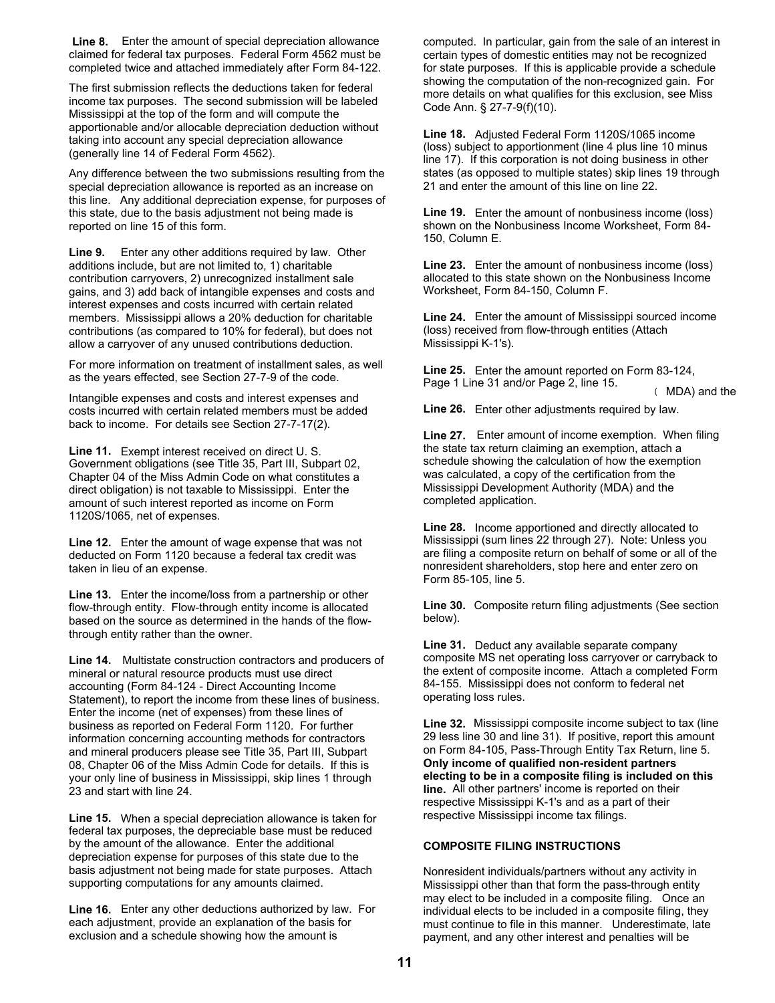**Line 8.** Enter the amount of special depreciation allowance claimed for federal tax purposes. Federal Form 4562 must be completed twice and attached immediately after Form 84-122.

The first submission reflects the deductions taken for federal income tax purposes. The second submission will be labeled Mississippi at the top of the form and will compute the apportionable and/or allocable depreciation deduction without taking into account any special depreciation allowance (generally line 14 of Federal Form 4562).

Any difference between the two submissions resulting from the special depreciation allowance is reported as an increase on this line. Any additional depreciation expense, for purposes of this state, due to the basis adjustment not being made is reported on line 15 of this form.

**Line 9.** Enter any other additions required by law. Other additions include, but are not limited to, 1) charitable contribution carryovers, 2) unrecognized installment sale gains, and 3) add back of intangible expenses and costs and interest expenses and costs incurred with certain related members. Mississippi allows a 20% deduction for charitable contributions (as compared to 10% for federal), but does not allow a carryover of any unused contributions deduction.

For more information on treatment of installment sales, as well as the years effected, see Section 27-7-9 of the code.

Intangible expenses and costs and interest expenses and costs incurred with certain related members must be added back to income. For details see Section 27-7-17(2).

**Line 11.** Exempt interest received on direct U. S. Government obligations (see Title 35, Part III, Subpart 02, Chapter 04 of the Miss Admin Code on what constitutes a direct obligation) is not taxable to Mississippi. Enter the amount of such interest reported as income on Form 1120S/1065, net of expenses.

**Line 12.** Enter the amount of wage expense that was not deducted on Form 1120 because a federal tax credit was taken in lieu of an expense.

**Line 13.** Enter the income/loss from a partnership or other flow-through entity. Flow-through entity income is allocated based on the source as determined in the hands of the flowthrough entity rather than the owner.

**Line 14.** Multistate construction contractors and producers of mineral or natural resource products must use direct accounting (Form 84-124 - Direct Accounting Income Statement), to report the income from these lines of business. Enter the income (net of expenses) from these lines of business as reported on Federal Form 1120. For further information concerning accounting methods for contractors and mineral producers please see Title 35, Part III, Subpart 08, Chapter 06 of the Miss Admin Code for details. If this is your only line of business in Mississippi, skip lines 1 through 23 and start with line 24.

**Line 15.** When a special depreciation allowance is taken for federal tax purposes, the depreciable base must be reduced by the amount of the allowance. Enter the additional depreciation expense for purposes of this state due to the basis adjustment not being made for state purposes. Attach supporting computations for any amounts claimed.

**Line 16.** Enter any other deductions authorized by law. For each adjustment, provide an explanation of the basis for exclusion and a schedule showing how the amount is

computed. In particular, gain from the sale of an interest in certain types of domestic entities may not be recognized for state purposes. If this is applicable provide a schedule showing the computation of the non-recognized gain. For more details on what qualifies for this exclusion, see Miss Code Ann. § 27-7-9(f)(10).

**Line 18.** Adjusted Federal Form 1120S/1065 income (loss) subject to apportionment (line 4 plus line 10 minus line 17). If this corporation is not doing business in other states (as opposed to multiple states) skip lines 19 through 21 and enter the amount of this line on line 22.

**Line 19.** Enter the amount of nonbusiness income (loss) shown on the Nonbusiness Income Worksheet, Form 84- 150, Column E.

**Line 23.** Enter the amount of nonbusiness income (loss) allocated to this state shown on the Nonbusiness Income Worksheet, Form 84-150, Column F.

**Line 24.** Enter the amount of Mississippi sourced income (loss) received from flow-through entities (Attach Mississippi K-1's).

**Line 25.** Enter the amount reported on Form 83-124, Page 1 Line 31 and/or Page 2, line 15.

( MDA) and the

**Line 26.** Enter other adjustments required by law.

**Line 27.** Enter amount of income exemption. When filing the state tax return claiming an exemption, attach a schedule showing the calculation of how the exemption was calculated, a copy of the certification from the Mississippi Development Authority (MDA) and the completed application.

**Line 28.** Income apportioned and directly allocated to Mississippi (sum lines 22 through 27). Note: Unless you are filing a composite return on behalf of some or all of the nonresident shareholders, stop here and enter zero on Form 85-105, line 5.

**Line 30.** Composite return filing adjustments (See section below).

**Line 31.** Deduct any available separate company composite MS net operating loss carryover or carryback to the extent of composite income. Attach a completed Form 84-155. Mississippi does not conform to federal net operating loss rules.

**Line 32.** Mississippi composite income subject to tax (line 29 less line 30 and line 31). If positive, report this amount on Form 84-105, Pass-Through Entity Tax Return, line 5. **Only income of qualified non-resident partners electing to be in a composite filing is included on this line.** All other partners' income is reported on their respective Mississippi K-1's and as a part of their respective Mississippi income tax filings.

#### **COMPOSITE FILING INSTRUCTIONS**

Nonresident individuals/partners without any activity in Mississippi other than that form the pass-through entity may elect to be included in a composite filing. Once an individual elects to be included in a composite filing, they must continue to file in this manner. Underestimate, late payment, and any other interest and penalties will be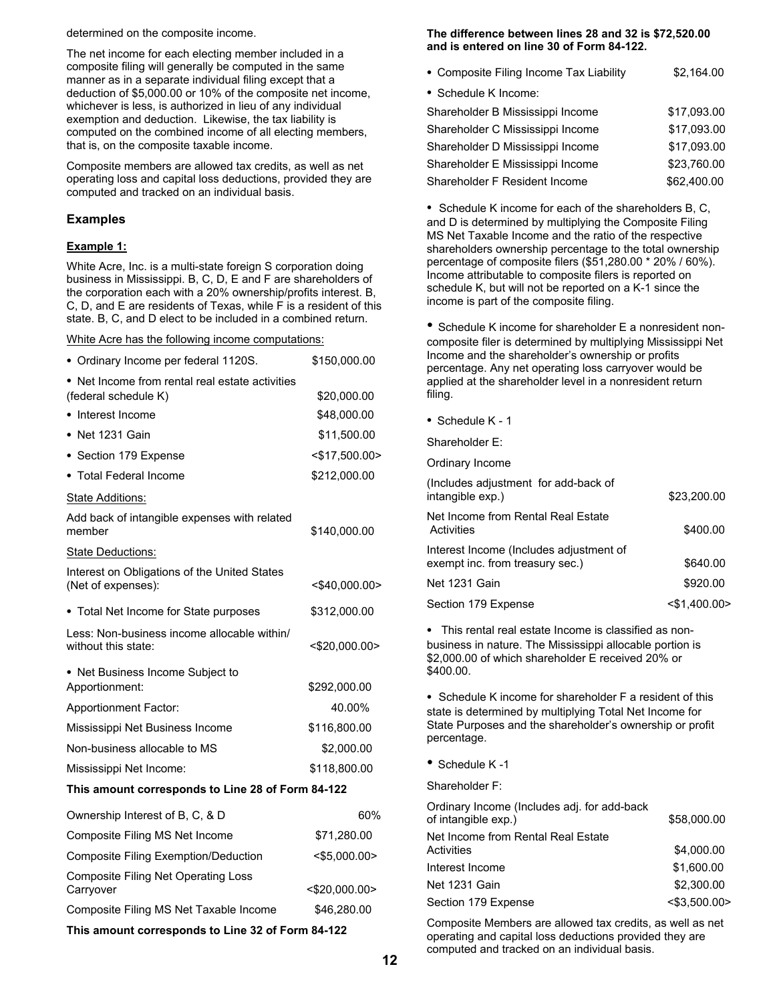determined on the composite income.

The net income for each electing member included in a composite filing will generally be computed in the same manner as in a separate individual filing except that a deduction of \$5,000.00 or 10% of the composite net income, whichever is less, is authorized in lieu of any individual exemption and deduction. Likewise, the tax liability is computed on the combined income of all electing members, that is, on the composite taxable income.

Composite members are allowed tax credits, as well as net operating loss and capital loss deductions, provided they are computed and tracked on an individual basis.

#### **Examples**

#### **Example 1:**

White Acre, Inc. is a multi-state foreign S corporation doing business in Mississippi. B, C, D, E and F are shareholders of the corporation each with a 20% ownership/profits interest. B, C, D, and E are residents of Texas, while F is a resident of this state. B, C, and D elect to be included in a combined return.

White Acre has the following income computations:

| • Ordinary Income per federal 1120S.                                    | \$150,000.00     |
|-------------------------------------------------------------------------|------------------|
| • Net Income from rental real estate activities<br>(federal schedule K) | \$20,000.00      |
| • Interest Income                                                       | \$48,000.00      |
| • Net 1231 Gain                                                         | \$11,500.00      |
| • Section 179 Expense                                                   | $<$ \$17,500.00> |
| • Total Federal Income                                                  | \$212,000.00     |
| State Additions:                                                        |                  |
| Add back of intangible expenses with related<br>member                  | \$140,000.00     |
| State Deductions:                                                       |                  |
| Interest on Obligations of the United States<br>(Net of expenses):      | <\$40,000.00>    |
| • Total Net Income for State purposes                                   | \$312,000.00     |
| Less: Non-business income allocable within/<br>without this state:      | <\$20,000.00>    |
| • Net Business Income Subject to<br>Apportionment:                      | \$292,000.00     |
| <b>Apportionment Factor:</b>                                            | 40.00%           |
| Mississippi Net Business Income                                         | \$116,800.00     |
| Non-business allocable to MS                                            | \$2,000.00       |
| Mississippi Net Income:                                                 | \$118,800.00     |
| This amount corresponds to Line 28 of Form 84-122                       |                  |
| Ownership Interest of B, C, & D                                         | 60%              |
| Composite Filing MS Net Income                                          | \$71,280.00      |
| <b>Composite Filing Exemption/Deduction</b>                             | $<$ \$5,000.00>  |
| <b>Composite Filing Net Operating Loss</b>                              | ∽מח חחח חר∙~     |

Carryover <\$20,000.00> Composite Filing MS Net Taxable Income \$46,280.00

**This amount corresponds to Line 32 of Form 84-122** 

#### **The difference between lines 28 and 32 is \$72,520.00 and is entered on line 30 of Form 84-122.**

| • Composite Filing Income Tax Liability | \$2,164.00  |
|-----------------------------------------|-------------|
| • Schedule K Income:                    |             |
| Shareholder B Mississippi Income        | \$17,093.00 |
| Shareholder C Mississippi Income        | \$17,093.00 |
| Shareholder D Mississippi Income        | \$17,093.00 |
| Shareholder E Mississippi Income        | \$23,760.00 |
| Shareholder F Resident Income           | \$62,400.00 |

• Schedule K income for each of the shareholders B, C, and D is determined by multiplying the Composite Filing MS Net Taxable Income and the ratio of the respective shareholders ownership percentage to the total ownership percentage of composite filers (\$51,280.00 \* 20% / 60%). Income attributable to composite filers is reported on schedule K, but will not be reported on a K-1 since the income is part of the composite filing.

• Schedule K income for shareholder E a nonresident noncomposite filer is determined by multiplying Mississippi Net Income and the shareholder's ownership or profits percentage. Any net operating loss carryover would be applied at the shareholder level in a nonresident return filing.

• Schedule K - 1

Shareholder E:

Ordinary Income

| (Includes adjustment for add-back of<br>intangible exp.)                   | \$23,200.00        |
|----------------------------------------------------------------------------|--------------------|
| Net Income from Rental Real Estate<br>Activities                           | \$400.00           |
| Interest Income (Includes adjustment of<br>exempt inc. from treasury sec.) | \$640.00           |
| Net 1231 Gain                                                              | \$920.00           |
| Section 179 Expense                                                        | $<$ \$1,400.00 $>$ |
|                                                                            |                    |

• This rental real estate Income is classified as nonbusiness in nature. The Mississippi allocable portion is \$2,000.00 of which shareholder E received 20% or \$400.00.

• Schedule K income for shareholder F a resident of this state is determined by multiplying Total Net Income for State Purposes and the shareholder's ownership or profit percentage.

• Schedule K -1

Shareholder F:

| Ordinary Income (Includes adj. for add-back<br>of intangible exp.) | \$58,000.00        |  |
|--------------------------------------------------------------------|--------------------|--|
| Net Income from Rental Real Estate<br>Activities                   | \$4,000.00         |  |
| Interest Income                                                    | \$1,600.00         |  |
| Net 1231 Gain                                                      | \$2,300.00         |  |
| Section 179 Expense                                                | $<$ \$3,500.00 $>$ |  |
|                                                                    |                    |  |

Composite Members are allowed tax credits, as well as net operating and capital loss deductions provided they are computed and tracked on an individual basis.